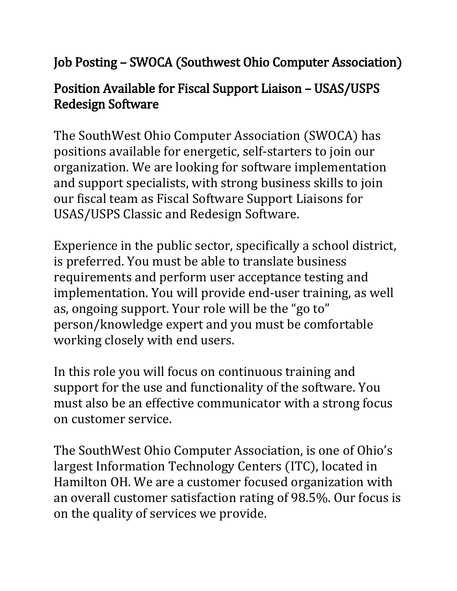## Job Posting – SWOCA (Southwest Ohio Computer Association)

## Position Available for Fiscal Support Liaison – USAS/USPS Redesign Software

The SouthWest Ohio Computer Association (SWOCA) has positions available for energetic, self-starters to join our organization. We are looking for software implementation and support specialists, with strong business skills to join our fiscal team as Fiscal Software Support Liaisons for USAS/USPS Classic and Redesign Software.

Experience in the public sector, specifically a school district, is preferred. You must be able to translate business requirements and perform user acceptance testing and implementation. You will provide end-user training, as well as, ongoing support. Your role will be the "go to" person/knowledge expert and you must be comfortable working closely with end users.

In this role you will focus on continuous training and support for the use and functionality of the software. You must also be an effective communicator with a strong focus on customer service.

The SouthWest Ohio Computer Association, is one of Ohio's largest Information Technology Centers (ITC), located in Hamilton OH. We are a customer focused organization with an overall customer satisfaction rating of 98.5%. Our focus is on the quality of services we provide.